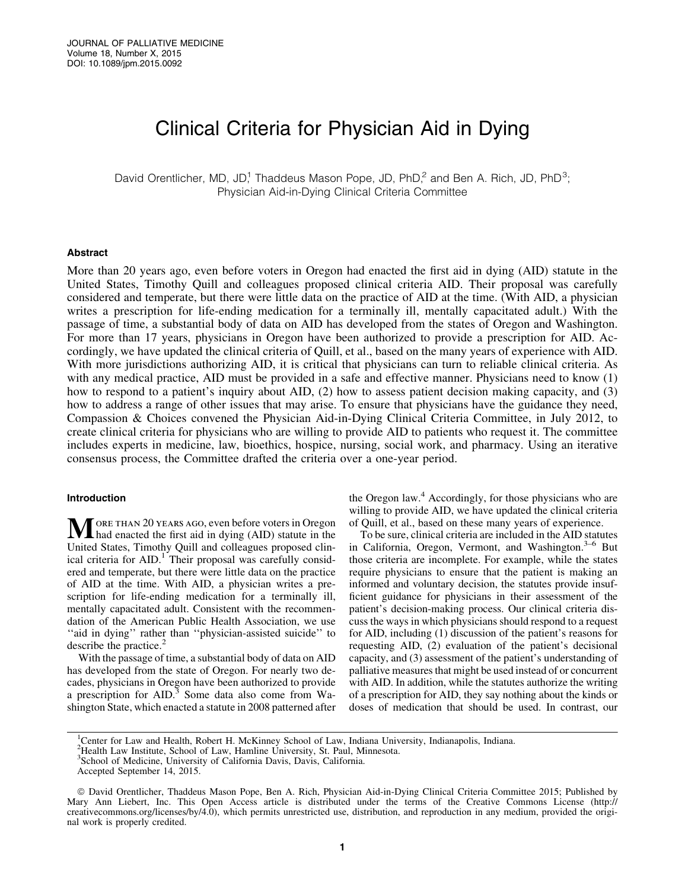# Clinical Criteria for Physician Aid in Dying

David Orentlicher, MD, JD,<sup>1</sup> Thaddeus Mason Pope, JD, PhD,<sup>2</sup> and Ben A. Rich, JD, PhD<sup>3</sup>; Physician Aid-in-Dying Clinical Criteria Committee

## Abstract

More than 20 years ago, even before voters in Oregon had enacted the first aid in dying (AID) statute in the United States, Timothy Quill and colleagues proposed clinical criteria AID. Their proposal was carefully considered and temperate, but there were little data on the practice of AID at the time. (With AID, a physician writes a prescription for life-ending medication for a terminally ill, mentally capacitated adult.) With the passage of time, a substantial body of data on AID has developed from the states of Oregon and Washington. For more than 17 years, physicians in Oregon have been authorized to provide a prescription for AID. Accordingly, we have updated the clinical criteria of Quill, et al., based on the many years of experience with AID. With more jurisdictions authorizing AID, it is critical that physicians can turn to reliable clinical criteria. As with any medical practice, AID must be provided in a safe and effective manner. Physicians need to know (1) how to respond to a patient's inquiry about AID, (2) how to assess patient decision making capacity, and (3) how to address a range of other issues that may arise. To ensure that physicians have the guidance they need, Compassion & Choices convened the Physician Aid-in-Dying Clinical Criteria Committee, in July 2012, to create clinical criteria for physicians who are willing to provide AID to patients who request it. The committee includes experts in medicine, law, bioethics, hospice, nursing, social work, and pharmacy. Using an iterative consensus process, the Committee drafted the criteria over a one-year period.

# Introduction

**MORE THAN 20 YEARS AGO, even before voters in Oregon**<br>had enacted the first aid in dying (AID) statute in the United States, Timothy Quill and colleagues proposed clinical criteria for AID.<sup>1</sup> Their proposal was carefully considered and temperate, but there were little data on the practice of AID at the time. With AID, a physician writes a prescription for life-ending medication for a terminally ill, mentally capacitated adult. Consistent with the recommendation of the American Public Health Association, we use "aid in dying" rather than "physician-assisted suicide" to describe the practice.<sup>2</sup>

With the passage of time, a substantial body of data on AID has developed from the state of Oregon. For nearly two decades, physicians in Oregon have been authorized to provide a prescription for AID.<sup>3</sup> Some data also come from Washington State, which enacted a statute in 2008 patterned after the Oregon law.<sup>4</sup> Accordingly, for those physicians who are willing to provide AID, we have updated the clinical criteria of Quill, et al., based on these many years of experience.

To be sure, clinical criteria are included in the AID statutes in California, Oregon, Vermont, and Washington. $3-6$  But those criteria are incomplete. For example, while the states require physicians to ensure that the patient is making an informed and voluntary decision, the statutes provide insufficient guidance for physicians in their assessment of the patient's decision-making process. Our clinical criteria discuss the ways in which physicians should respond to a request for AID, including (1) discussion of the patient's reasons for requesting AID, (2) evaluation of the patient's decisional capacity, and (3) assessment of the patient's understanding of palliative measures that might be used instead of or concurrent with AID. In addition, while the statutes authorize the writing of a prescription for AID, they say nothing about the kinds or doses of medication that should be used. In contrast, our

<sup>&</sup>lt;sup>1</sup>Center for Law and Health, Robert H. McKinney School of Law, Indiana University, Indianapolis, Indiana.

<sup>2</sup> Health Law Institute, School of Law, Hamline University, St. Paul, Minnesota.

<sup>3</sup> School of Medicine, University of California Davis, Davis, California.

Accepted September 14, 2015.

ª David Orentlicher, Thaddeus Mason Pope, Ben A. Rich, Physician Aid-in-Dying Clinical Criteria Committee 2015; Published by Mary Ann Liebert, Inc. This Open Access article is distributed under the terms of the Creative Commons License (http:// creativecommons.org/licenses/by/4.0), which permits unrestricted use, distribution, and reproduction in any medium, provided the original work is properly credited.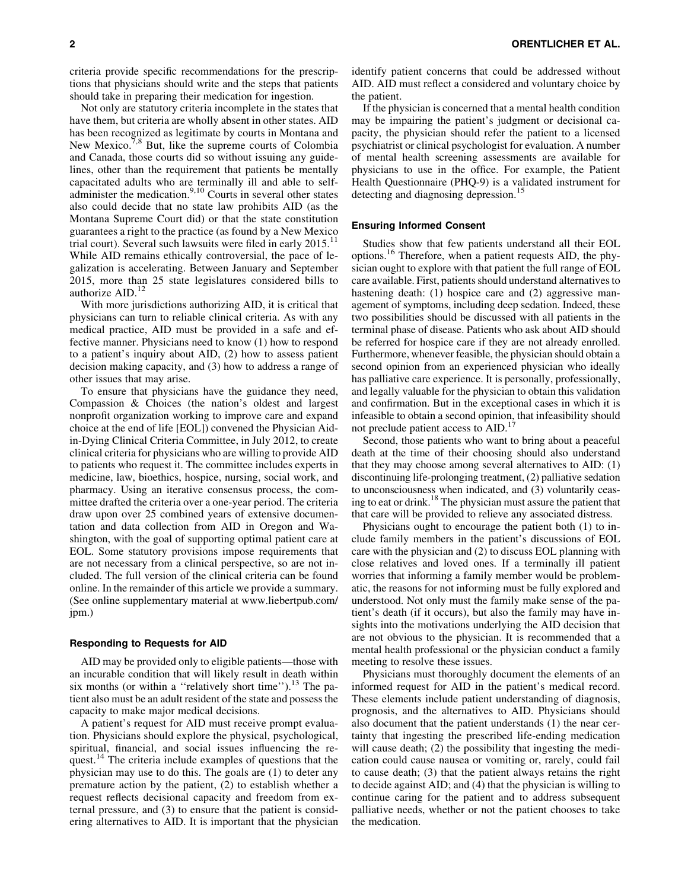criteria provide specific recommendations for the prescriptions that physicians should write and the steps that patients should take in preparing their medication for ingestion.

Not only are statutory criteria incomplete in the states that have them, but criteria are wholly absent in other states. AID has been recognized as legitimate by courts in Montana and New Mexico.<sup>7,8</sup> But, like the supreme courts of Colombia and Canada, those courts did so without issuing any guidelines, other than the requirement that patients be mentally capacitated adults who are terminally ill and able to selfadminister the medication.<sup>9,10</sup> Courts in several other states also could decide that no state law prohibits AID (as the Montana Supreme Court did) or that the state constitution guarantees a right to the practice (as found by a New Mexico trial court). Several such lawsuits were filed in early  $2015$ .<sup>11</sup> While AID remains ethically controversial, the pace of legalization is accelerating. Between January and September 2015, more than 25 state legislatures considered bills to authorize  $AID$ .<sup>12</sup>

With more jurisdictions authorizing AID, it is critical that physicians can turn to reliable clinical criteria. As with any medical practice, AID must be provided in a safe and effective manner. Physicians need to know (1) how to respond to a patient's inquiry about AID, (2) how to assess patient decision making capacity, and (3) how to address a range of other issues that may arise.

To ensure that physicians have the guidance they need, Compassion & Choices (the nation's oldest and largest nonprofit organization working to improve care and expand choice at the end of life [EOL]) convened the Physician Aidin-Dying Clinical Criteria Committee, in July 2012, to create clinical criteria for physicians who are willing to provide AID to patients who request it. The committee includes experts in medicine, law, bioethics, hospice, nursing, social work, and pharmacy. Using an iterative consensus process, the committee drafted the criteria over a one-year period. The criteria draw upon over 25 combined years of extensive documentation and data collection from AID in Oregon and Washington, with the goal of supporting optimal patient care at EOL. Some statutory provisions impose requirements that are not necessary from a clinical perspective, so are not included. The full version of the clinical criteria can be found online. In the remainder of this article we provide a summary. (See online supplementary material at www.liebertpub.com/ jpm.)

## Responding to Requests for AID

AID may be provided only to eligible patients—those with an incurable condition that will likely result in death within six months (or within a "relatively short time").<sup>13</sup> The patient also must be an adult resident of the state and possess the capacity to make major medical decisions.

A patient's request for AID must receive prompt evaluation. Physicians should explore the physical, psychological, spiritual, financial, and social issues influencing the request.<sup>14</sup> The criteria include examples of questions that the physician may use to do this. The goals are (1) to deter any premature action by the patient, (2) to establish whether a request reflects decisional capacity and freedom from external pressure, and (3) to ensure that the patient is considering alternatives to AID. It is important that the physician identify patient concerns that could be addressed without AID. AID must reflect a considered and voluntary choice by the patient.

If the physician is concerned that a mental health condition may be impairing the patient's judgment or decisional capacity, the physician should refer the patient to a licensed psychiatrist or clinical psychologist for evaluation. A number of mental health screening assessments are available for physicians to use in the office. For example, the Patient Health Questionnaire (PHQ-9) is a validated instrument for detecting and diagnosing depression.<sup>15</sup>

# Ensuring Informed Consent

Studies show that few patients understand all their EOL options.16 Therefore, when a patient requests AID, the physician ought to explore with that patient the full range of EOL care available. First, patients should understand alternatives to hastening death: (1) hospice care and (2) aggressive management of symptoms, including deep sedation. Indeed, these two possibilities should be discussed with all patients in the terminal phase of disease. Patients who ask about AID should be referred for hospice care if they are not already enrolled. Furthermore, whenever feasible, the physician should obtain a second opinion from an experienced physician who ideally has palliative care experience. It is personally, professionally, and legally valuable for the physician to obtain this validation and confirmation. But in the exceptional cases in which it is infeasible to obtain a second opinion, that infeasibility should not preclude patient access to AID.<sup>17</sup>

Second, those patients who want to bring about a peaceful death at the time of their choosing should also understand that they may choose among several alternatives to AID: (1) discontinuing life-prolonging treatment, (2) palliative sedation to unconsciousness when indicated, and (3) voluntarily ceasing to eat or drink.18 The physician must assure the patient that that care will be provided to relieve any associated distress.

Physicians ought to encourage the patient both (1) to include family members in the patient's discussions of EOL care with the physician and (2) to discuss EOL planning with close relatives and loved ones. If a terminally ill patient worries that informing a family member would be problematic, the reasons for not informing must be fully explored and understood. Not only must the family make sense of the patient's death (if it occurs), but also the family may have insights into the motivations underlying the AID decision that are not obvious to the physician. It is recommended that a mental health professional or the physician conduct a family meeting to resolve these issues.

Physicians must thoroughly document the elements of an informed request for AID in the patient's medical record. These elements include patient understanding of diagnosis, prognosis, and the alternatives to AID. Physicians should also document that the patient understands (1) the near certainty that ingesting the prescribed life-ending medication will cause death; (2) the possibility that ingesting the medication could cause nausea or vomiting or, rarely, could fail to cause death; (3) that the patient always retains the right to decide against AID; and (4) that the physician is willing to continue caring for the patient and to address subsequent palliative needs, whether or not the patient chooses to take the medication.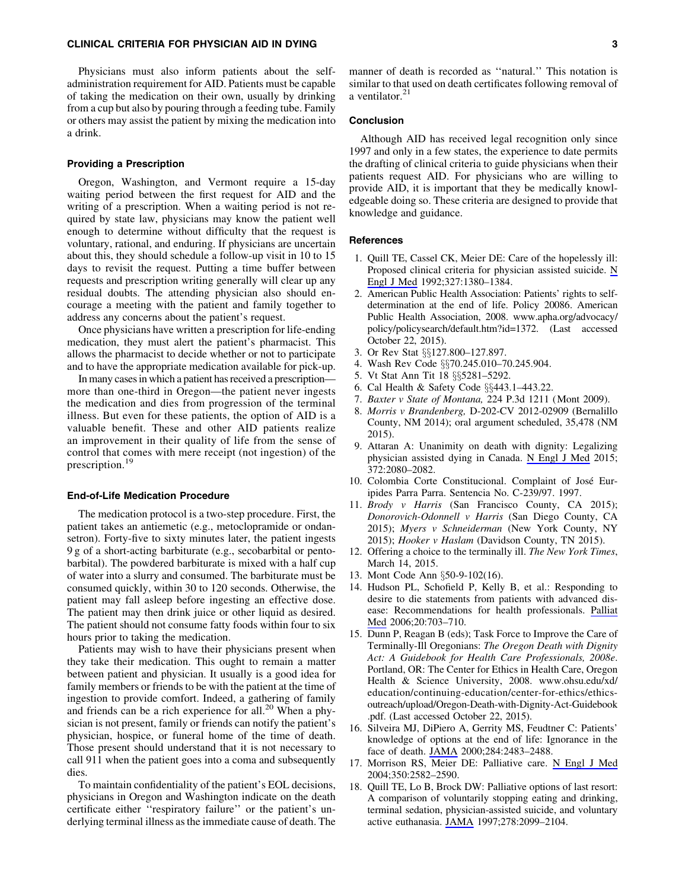# CLINICAL CRITERIA FOR PHYSICIAN AID IN DYING 3

Physicians must also inform patients about the selfadministration requirement for AID. Patients must be capable of taking the medication on their own, usually by drinking from a cup but also by pouring through a feeding tube. Family or others may assist the patient by mixing the medication into a drink.

# Providing a Prescription

Oregon, Washington, and Vermont require a 15-day waiting period between the first request for AID and the writing of a prescription. When a waiting period is not required by state law, physicians may know the patient well enough to determine without difficulty that the request is voluntary, rational, and enduring. If physicians are uncertain about this, they should schedule a follow-up visit in 10 to 15 days to revisit the request. Putting a time buffer between requests and prescription writing generally will clear up any residual doubts. The attending physician also should encourage a meeting with the patient and family together to address any concerns about the patient's request.

Once physicians have written a prescription for life-ending medication, they must alert the patient's pharmacist. This allows the pharmacist to decide whether or not to participate and to have the appropriate medication available for pick-up.

In many cases in which a patient has received a prescription more than one-third in Oregon—the patient never ingests the medication and dies from progression of the terminal illness. But even for these patients, the option of AID is a valuable benefit. These and other AID patients realize an improvement in their quality of life from the sense of control that comes with mere receipt (not ingestion) of the prescription.<sup>19</sup>

#### End-of-Life Medication Procedure

The medication protocol is a two-step procedure. First, the patient takes an antiemetic (e.g., metoclopramide or ondansetron). Forty-five to sixty minutes later, the patient ingests 9 g of a short-acting barbiturate (e.g., secobarbital or pentobarbital). The powdered barbiturate is mixed with a half cup of water into a slurry and consumed. The barbiturate must be consumed quickly, within 30 to 120 seconds. Otherwise, the patient may fall asleep before ingesting an effective dose. The patient may then drink juice or other liquid as desired. The patient should not consume fatty foods within four to six hours prior to taking the medication.

Patients may wish to have their physicians present when they take their medication. This ought to remain a matter between patient and physician. It usually is a good idea for family members or friends to be with the patient at the time of ingestion to provide comfort. Indeed, a gathering of family and friends can be a rich experience for all.<sup>20</sup> When a physician is not present, family or friends can notify the patient's physician, hospice, or funeral home of the time of death. Those present should understand that it is not necessary to call 911 when the patient goes into a coma and subsequently dies.

To maintain confidentiality of the patient's EOL decisions, physicians in Oregon and Washington indicate on the death certificate either ''respiratory failure'' or the patient's underlying terminal illness as the immediate cause of death. The manner of death is recorded as ''natural.'' This notation is similar to that used on death certificates following removal of a ventilator.<sup>21</sup>

## Conclusion

Although AID has received legal recognition only since 1997 and only in a few states, the experience to date permits the drafting of clinical criteria to guide physicians when their patients request AID. For physicians who are willing to provide AID, it is important that they be medically knowledgeable doing so. These criteria are designed to provide that knowledge and guidance.

#### **References**

- 1. Quill TE, Cassel CK, Meier DE: Care of the hopelessly ill: Proposed clinical criteria for physician assisted suicide.  $\underline{N}$ [Engl J Med](http://online.liebertpub.com/action/showLinks?pmid=1406842&crossref=10.1056%2FNEJM199211053271911) 1992;327:1380–1384.
- 2. American Public Health Association: Patients' rights to selfdetermination at the end of life. Policy 20086. American Public Health Association, 2008. www.apha.org/advocacy/ policy/policysearch/default.htm?id=1372. (Last accessed October 22, 2015).
- 3. Or Rev Stat §§127.800–127.897.
- 4. Wash Rev Code §§70.245.010-70.245.904.
- 5. Vt Stat Ann Tit 18 §§5281-5292.
- 6. Cal Health & Safety Code  $\S$  $\S$ 443.1–443.22.
- 7. *Baxter v State of Montana,* 224 P.3d 1211 (Mont 2009).
- 8. *Morris v Brandenberg,* D-202-CV 2012-02909 (Bernalillo County, NM 2014); oral argument scheduled, 35,478 (NM 2015).
- 9. Attaran A: Unanimity on death with dignity: Legalizing physician assisted dying in Canada. [N Engl J Med](http://online.liebertpub.com/action/showLinks?pmid=26017821&crossref=10.1056%2FNEJMp1502442) 2015; 372:2080–2082.
- 10. Colombia Corte Constitucional. Complaint of Jose´ Euripides Parra Parra. Sentencia No. C-239/97. 1997.
- 11. *Brody v Harris* (San Francisco County, CA 2015); *Donorovich-Odonnell v Harris* (San Diego County, CA 2015); *Myers v Schneiderman* (New York County, NY 2015); *Hooker v Haslam* (Davidson County, TN 2015).
- 12. Offering a choice to the terminally ill. *The New York Times*, March 14, 2015.
- 13. Mont Code Ann §50-9-102(16).
- 14. Hudson PL, Schofield P, Kelly B, et al.: Responding to desire to die statements from patients with advanced disease: Recommendations for health professionals. [Palliat](http://online.liebertpub.com/action/showLinks?pmid=17060269&crossref=10.1177%2F0269216306071814) [Med](http://online.liebertpub.com/action/showLinks?pmid=17060269&crossref=10.1177%2F0269216306071814) 2006;20:703–710.
- 15. Dunn P, Reagan B (eds); Task Force to Improve the Care of Terminally-Ill Oregonians: *The Oregon Death with Dignity Act: A Guidebook for Health Care Professionals, 2008e*. Portland, OR: The Center for Ethics in Health Care, Oregon Health & Science University, 2008. www.ohsu.edu/xd/ education/continuing-education/center-for-ethics/ethicsoutreach/upload/Oregon-Death-with-Dignity-Act-Guidebook .pdf. (Last accessed October 22, 2015).
- 16. Silveira MJ, DiPiero A, Gerrity MS, Feudtner C: Patients' knowledge of options at the end of life: Ignorance in the face of death. [JAMA](http://online.liebertpub.com/action/showLinks?pmid=11074778&crossref=10.1001%2Fjama.284.19.2483) 2000;284:2483–2488.
- 17. Morrison RS, Meier DE: Palliative care. [N Engl J Med](http://online.liebertpub.com/action/showLinks?pmid=15201415&crossref=10.1056%2FNEJMcp035232) 2004;350:2582–2590.
- 18. Quill TE, Lo B, Brock DW: Palliative options of last resort: A comparison of voluntarily stopping eating and drinking, terminal sedation, physician-assisted suicide, and voluntary active euthanasia. [JAMA](http://online.liebertpub.com/action/showLinks?pmid=9403426&crossref=10.1001%2Fjama.278.23.2099) 1997;278:2099–2104.